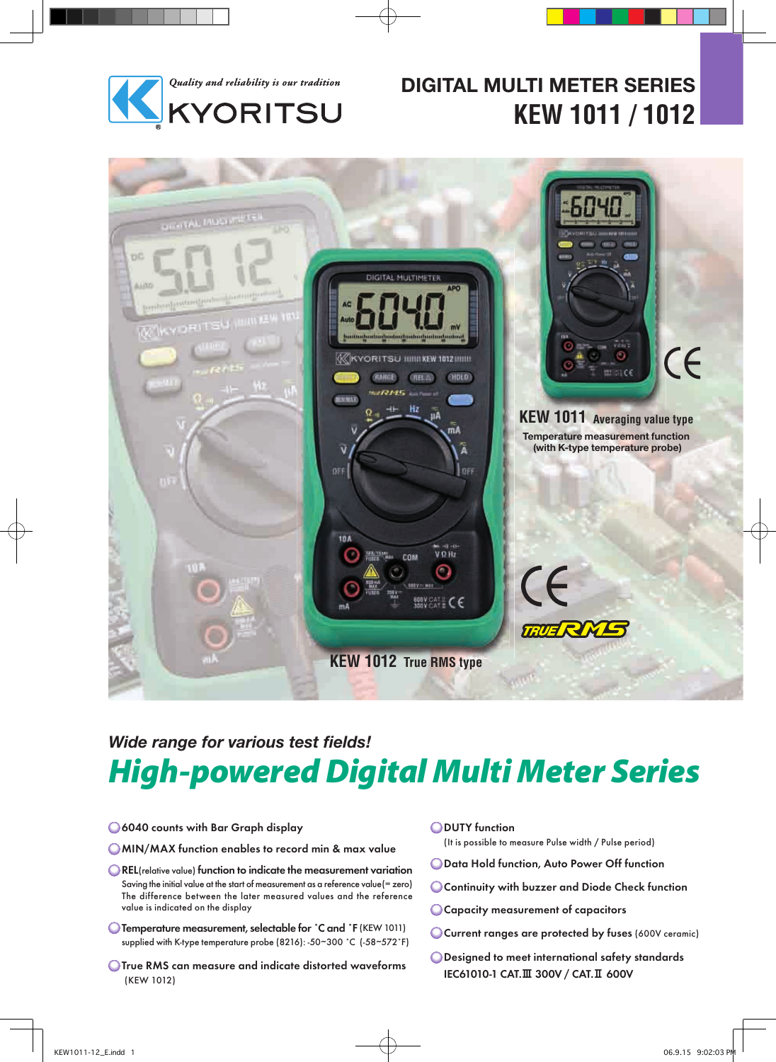

# **DIGITAL MULTI METER SERIES KEW 1011 / 1012**



# **Wide range for various test fields!** High-powered Digital Multi Meter Series

6040 counts with Bar Graph display

**OMIN/MAX function enables to record min & max value** 

- REL(relative value) function to indicate the measurement variation Saving the initial value at the start of measurement as a reference value(= zero) The difference between the later measured values and the reference value is indicated on the display
- Temperature measurement, selectable for ˚C and ˚F (KEW 1011) supplied with K-type temperature probe (8216): -50~300 ˚C (-58~572˚F)
- **OTrue RMS can measure and indicate distorted waveforms** (KEW 1012)

**ODUTY** function

(It is possible to measure Pulse width / Pulse period)

- Data Hold function, Auto Power Off function
- Continuity with buzzer and Diode Check function
- Capacity measurement of capacitors
- Current ranges are protected by fuses (600V ceramic)
- Designed to meet international safety standards IEC61010-1 CAT.Ⅲ 300V / CAT.Ⅱ 600V